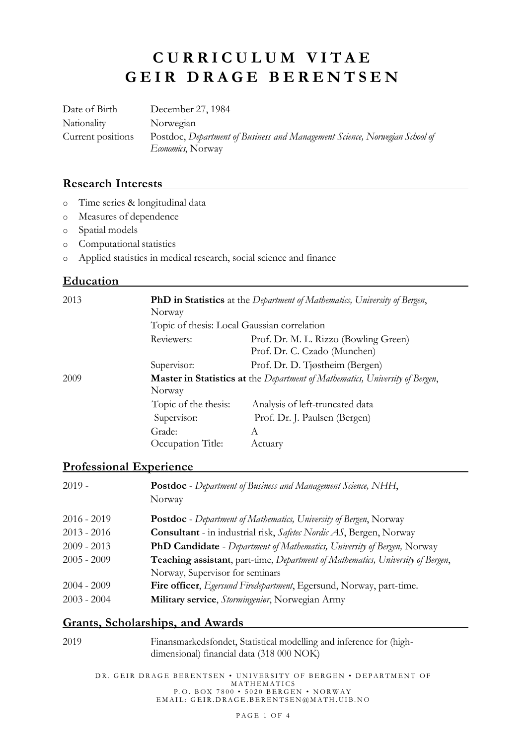# **C U R R I C U L U M V I T A E G E I R D R A G E B E R E N T S E N**

Date of Birth December 27, 1984 Nationality Norwegian Current positions Postdoc, *Department of Business and Management Science, Norwegian School of Economics*, Norway

#### **Research Interests**

- o Time series & longitudinal data
- o Measures of dependence
- o Spatial models
- o Computational statistics
- o Applied statistics in medical research, social science and finance

#### **Education**

| 2013 | <b>PhD</b> in Statistics at the Department of Mathematics, University of Bergen,<br>Norway<br>Topic of thesis: Local Gaussian correlation |                                                                       |  |
|------|-------------------------------------------------------------------------------------------------------------------------------------------|-----------------------------------------------------------------------|--|
|      | Reviewers:                                                                                                                                | Prof. Dr. M. L. Rizzo (Bowling Green)<br>Prof. Dr. C. Czado (Munchen) |  |
|      | Supervisor:                                                                                                                               | Prof. Dr. D. Tjøstheim (Bergen)                                       |  |
| 2009 | <b>Master in Statistics at</b> the <i>Department of Mathematics</i> , University of Bergen,<br>Norway                                     |                                                                       |  |
|      | Topic of the thesis:                                                                                                                      | Analysis of left-truncated data                                       |  |
|      | Supervisor:                                                                                                                               | Prof. Dr. J. Paulsen (Bergen)                                         |  |
|      | Grade:                                                                                                                                    | A                                                                     |  |
|      | Occupation Title:                                                                                                                         | Actuary                                                               |  |

### **Professional Experience**

| 2019 -      | <b>Postdoc</b> - Department of Business and Management Science, NHH,<br>Norway                          |
|-------------|---------------------------------------------------------------------------------------------------------|
| 2016 - 2019 | <b>Postdoc</b> - Department of Mathematics, University of Bergen, Norway                                |
| 2013 - 2016 | Consultant - in industrial risk, Safetec Nordic AS, Bergen, Norway                                      |
| 2009 - 2013 | <b>PhD Candidate</b> - Department of Mathematics, University of Bergen, Norway                          |
| 2005 - 2009 | <b>Teaching assistant</b> , part-time, <i>Department of Mathematics</i> , <i>University of Bergen</i> , |
|             | Norway, Supervisor for seminars                                                                         |
| 2004 - 2009 | Fire officer, Egersund Firedepartment, Egersund, Norway, part-time.                                     |
| 2003 - 2004 | Military service, Stormingeniør, Norwegian Army                                                         |

#### **Grants, Scholarships, and Awards**

| 2019 | Finansmarkedsfondet, Statistical modelling and inference for (high- |
|------|---------------------------------------------------------------------|
|      | dimensional) financial data (318 000 NOK)                           |

DR. GEIR DRAGE BERENTSEN • UNIVERSITY OF BERGEN • DEPARTMENT OF **MATHEMATICS** P. O. BOX 7800 • 5020 BERGEN • NORWAY  $\texttt{EMAIL:}~\texttt{GEIR.DRAGE.BERENTSEN@MATH.UIB.NO}$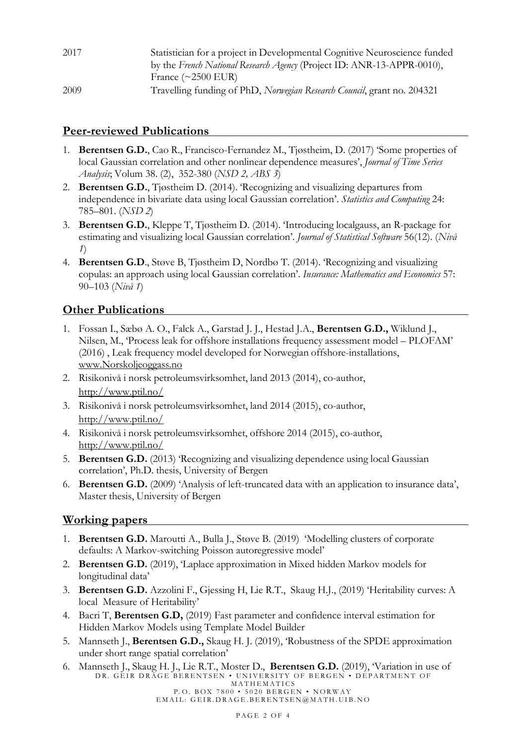| 2017 | Statistician for a project in Developmental Cognitive Neuroscience funded<br>by the French National Research Agency (Project ID: ANR-13-APPR-0010), |
|------|-----------------------------------------------------------------------------------------------------------------------------------------------------|
|      | France $(\sim 2500$ EUR)                                                                                                                            |
| 2009 | Travelling funding of PhD, Norwegian Research Council, grant no. 204321                                                                             |

# **Peer-reviewed Publications**

- 1. **Berentsen G.D.**, Cao R., Francisco-Fernandez M., Tjøstheim, D. (2017) 'Some properties of local Gaussian correlation and other nonlinear dependence measures', *Journal of Time Series Analysis*; Volum 38. (2), 352-380 (*NSD 2, ABS 3*)
- 2. **Berentsen G.D.**, Tjøstheim D. (2014). 'Recognizing and visualizing departures from independence in bivariate data using local Gaussian correlation'. *Statistics and Computing* 24: 785–801. (*NSD 2*)
- 3. **Berentsen G.D.**, Kleppe T, Tjøstheim D. (2014). 'Introducing localgauss, an R-package for estimating and visualizing local Gaussian correlation'. *Journal of Statistical Software* 56(12). (*Nivå 1*)
- 4. **Berentsen G.D**., Støve B, Tjøstheim D, Nordbø T. (2014). 'Recognizing and visualizing copulas: an approach using local Gaussian correlation'. *Insurance: Mathematics and Economics* 57: 90–103 (*Nivå 1*)

# **Other Publications**

- 1. Fossan I., Sæbø A. O., Falck A., Garstad J. J., Hestad J.A., **Berentsen G.D.,** Wiklund J., Nilsen, M., 'Process leak for offshore installations frequency assessment model – PLOFAM' (2016) , Leak frequency model developed for Norwegian offshore-installations, [www.Norskoljeoggass.no](http://www.norskoljeoggass.no/)
- 2. Risikonivå i norsk petroleumsvirksomhet, land 2013 (2014), co-author, <http://www.ptil.no/>
- 3. Risikonivå i norsk petroleumsvirksomhet, land 2014 (2015), co-author, <http://www.ptil.no/>
- 4. Risikonivå i norsk petroleumsvirksomhet, offshore 2014 (2015), co-author, <http://www.ptil.no/>
- 5. **Berentsen G.D.** (2013) 'Recognizing and visualizing dependence using local Gaussian correlation', Ph.D. thesis, University of Bergen
- 6. **Berentsen G.D.** (2009) 'Analysis of left-truncated data with an application to insurance data', Master thesis, University of Bergen

# **Working papers**

- 1. **Berentsen G.D.** Maroutti A., Bulla J., Støve B. (2019) 'Modelling clusters of corporate defaults: A Markov-switching Poisson autoregressive model'
- 2. **Berentsen G.D.** (2019), 'Laplace approximation in Mixed hidden Markov models for longitudinal data'
- 3. **Berentsen G.D.** Azzolini F., Gjessing H, Lie R.T., Skaug H.J., (2019) 'Heritability curves: A local Measure of Heritability'
- 4. Bacri T, **Berentsen G.D,** (2019) Fast parameter and confidence interval estimation for Hidden Markov Models using Template Model Builder
- 5. Mannseth J., **Berentsen G.D.,** Skaug H. J. (2019), 'Robustness of the SPDE approximation under short range spatial correlation'
- DR. GEIR DRAGE BERENTSEN UNIVERSITY OF BERGEN DEPARTMENT OF **MATHEMATICS** 6. Mannseth J., Skaug H. J., Lie R.T., Moster D., **Berentsen G.D.** (2019), 'Variation in use of

P. O. BOX 7800 • 5020 BERGEN • NORWAY EMAIL: GEIR.DRAGE.BERENTSEN@MATH.UIB.NO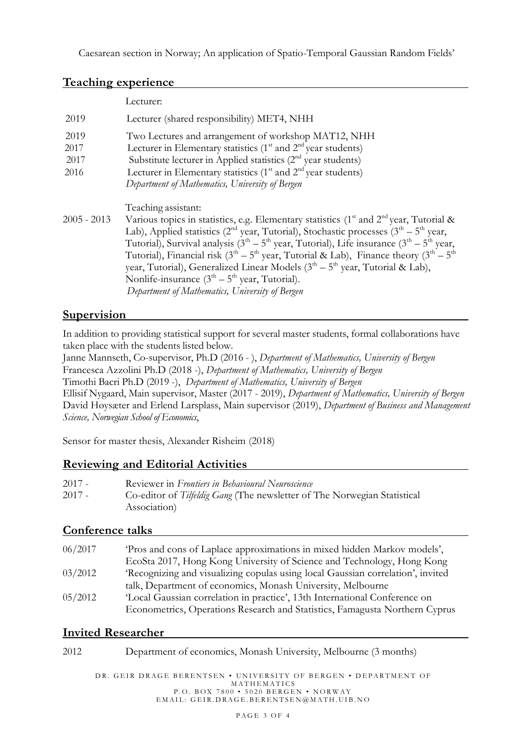Caesarean section in Norway; An application of Spatio-Temporal Gaussian Random Fields'

#### **Teaching experience**

|                              | Lecturer:                                                                                                                                                                                                                                                                                                                                                                                                                                                                                                                                                                                                         |
|------------------------------|-------------------------------------------------------------------------------------------------------------------------------------------------------------------------------------------------------------------------------------------------------------------------------------------------------------------------------------------------------------------------------------------------------------------------------------------------------------------------------------------------------------------------------------------------------------------------------------------------------------------|
| 2019                         | Lecturer (shared responsibility) MET4, NHH                                                                                                                                                                                                                                                                                                                                                                                                                                                                                                                                                                        |
| 2019<br>2017<br>2017<br>2016 | Two Lectures and arrangement of workshop MAT12, NHH<br>Lecturer in Elementary statistics $(1st$ and $2nd$ year students)<br>Substitute lecturer in Applied statistics $(2nd$ year students)<br>Lecturer in Elementary statistics (1 <sup>st</sup> and 2 <sup>nd</sup> year students)<br>Department of Mathematics, University of Bergen                                                                                                                                                                                                                                                                           |
| $2005 - 2013$                | Teaching assistant:<br>Various topics in statistics, e.g. Elementary statistics ( $1st$ and $2nd$ year, Tutorial &<br>Lab), Applied statistics ( $2nd$ year, Tutorial), Stochastic processes ( $3th - 5th$ year,<br>Tutorial), Survival analysis $(3th – 5th$ year, Tutorial), Life insurance $(3th – 5th$ year,<br>Tutorial), Financial risk $(3^{th} – 5^{th}$ year, Tutorial & Lab), Finance theory $(3^{th} – 5^{th}$<br>year, Tutorial), Generalized Linear Models $(3th - 5th$ year, Tutorial & Lab),<br>Nonlife-insurance $(3th – 5th$ year, Tutorial).<br>Department of Mathematics, University of Bergen |

# **Supervision**

In addition to providing statistical support for several master students, formal collaborations have taken place with the students listed below.

Janne Mannseth, Co-supervisor, Ph.D (2016 - ), *Department of Mathematics, University of Bergen* Francesca Azzolini Ph.D (2018 -), *Department of Mathematics, University of Bergen* Timothi Bacri Ph.D (2019 -), *Department of Mathematics, University of Bergen*

Ellisif Nygaard, Main supervisor, Master (2017 - 2019), *Department of Mathematics, University of Bergen* David Høysæter and Erlend Larsplass, Main supervisor (2019), *Department of Business and Management Science, Norwegian School of Economics*,

Sensor for master thesis, Alexander Risheim (2018)

# **Reviewing and Editorial Activities**

| 2017 - | Reviewer in Frontiers in Behavioural Neuroscience                        |
|--------|--------------------------------------------------------------------------|
| 2017 - | Co-editor of Tilfeldig Gang (The newsletter of The Norwegian Statistical |
|        | Association                                                              |

# **Conference talks**

| 06/2017 | 'Pros and cons of Laplace approximations in mixed hidden Markov models',        |
|---------|---------------------------------------------------------------------------------|
|         | EcoSta 2017, Hong Kong University of Science and Technology, Hong Kong          |
| 03/2012 | 'Recognizing and visualizing copulas using local Gaussian correlation', invited |
|         | talk, Department of economics, Monash University, Melbourne                     |
| 05/2012 | 'Local Gaussian correlation in practice', 13th International Conference on      |
|         | Econometrics, Operations Research and Statistics, Famagusta Northern Cyprus     |

# **Invited Researcher**

| 2012 |  |  | Department of economics, Monash University, Melbourne (3 months) |  |  |
|------|--|--|------------------------------------------------------------------|--|--|
|------|--|--|------------------------------------------------------------------|--|--|

DR. GEIR DRAGE BERENTSEN • UNIVERSITY OF BERGEN • DEPARTMENT OF **MATHEMATICS** P. O. BOX 7800 • 5020 BERGEN • NORWAY EMAIL: GEIR.DRAGE.BERENTSEN@MATH.UIB.NO